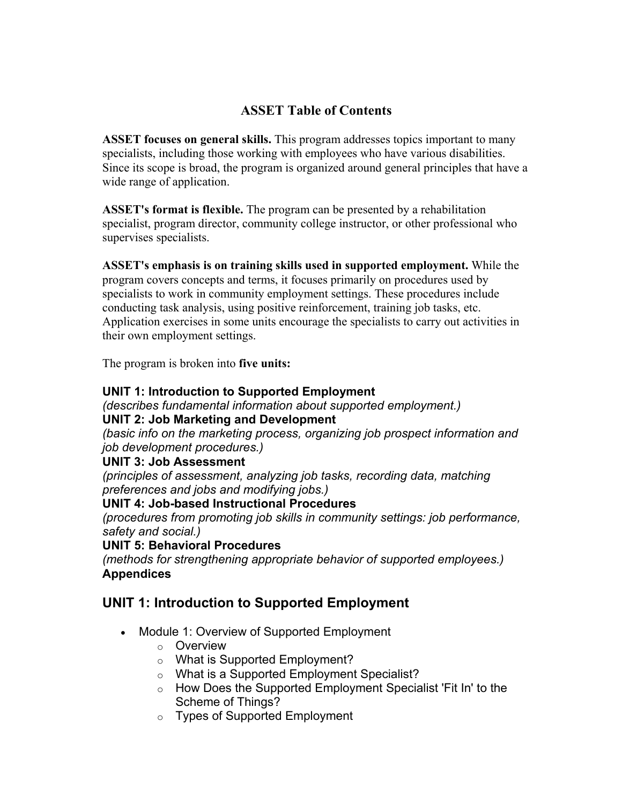# **ASSET Table of Contents**

**ASSET focuses on general skills.** This program addresses topics important to many specialists, including those working with employees who have various disabilities. Since its scope is broad, the program is organized around general principles that have a wide range of application.

**ASSET's format is flexible.** The program can be presented by a rehabilitation specialist, program director, community college instructor, or other professional who supervises specialists.

**ASSET's emphasis is on training skills used in supported employment.** While the program covers concepts and terms, it focuses primarily on procedures used by specialists to work in community employment settings. These procedures include conducting task analysis, using positive reinforcement, training job tasks, etc. Application exercises in some units encourage the specialists to carry out activities in their own employment settings.

The program is broken into **five units:**

### **UNIT 1: Introduction to Supported Employment**

*(describes fundamental information about supported employment.)*

### **UNIT 2: Job Marketing and Development**

*(basic info on the marketing process, organizing job prospect information and job development procedures.)* 

#### **UNIT 3: Job Assessment**

*(principles of assessment, analyzing job tasks, recording data, matching preferences and jobs and modifying jobs.)*

### **UNIT 4: Job-based Instructional Procedures**

*(procedures from promoting job skills in community settings: job performance, safety and social.)*

#### **UNIT 5: Behavioral Procedures**

*(methods for strengthening appropriate behavior of supported employees.)* **Appendices**

## **UNIT 1: Introduction to Supported Employment**

- Module 1: Overview of Supported Employment
	- o Overview
	- o What is Supported Employment?
	- o What is a Supported Employment Specialist?
	- $\circ$  How Does the Supported Employment Specialist 'Fit In' to the Scheme of Things?
	- o Types of Supported Employment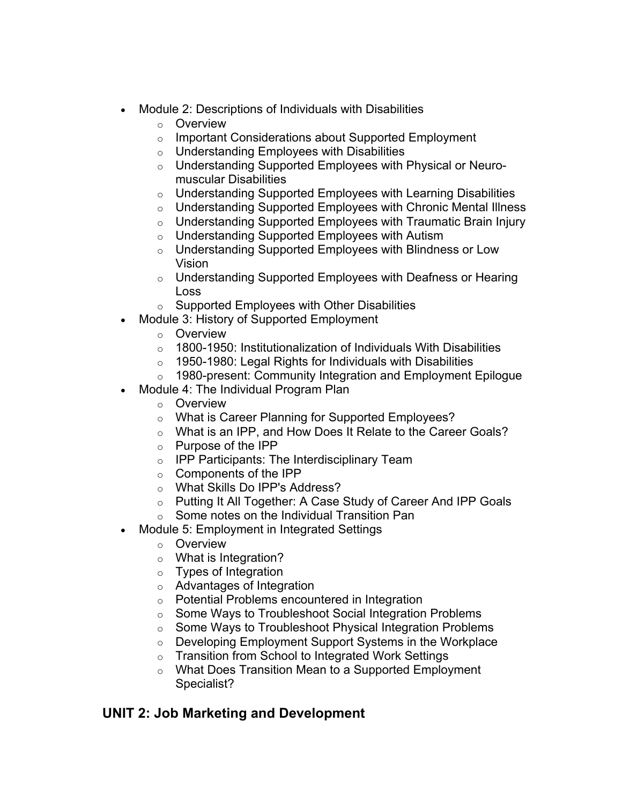- Module 2: Descriptions of Individuals with Disabilities
	- o Overview
	- o Important Considerations about Supported Employment
	- o Understanding Employees with Disabilities
	- o Understanding Supported Employees with Physical or Neuromuscular Disabilities
	- $\circ$  Understanding Supported Employees with Learning Disabilities
	- $\circ$  Understanding Supported Employees with Chronic Mental Illness
	- $\circ$  Understanding Supported Employees with Traumatic Brain Injury
	- o Understanding Supported Employees with Autism
	- $\circ$  Understanding Supported Employees with Blindness or Low Vision
	- $\circ$  Understanding Supported Employees with Deafness or Hearing Loss
	- $\circ$  Supported Employees with Other Disabilities
- Module 3: History of Supported Employment
	- o Overview
	- $\circ$  1800-1950: Institutionalization of Individuals With Disabilities
	- $\circ$  1950-1980: Legal Rights for Individuals with Disabilities
	- $\circ$  1980-present: Community Integration and Employment Epilogue
- Module 4: The Individual Program Plan
	- o Overview
	- o What is Career Planning for Supported Employees?
	- o What is an IPP, and How Does It Relate to the Career Goals?
	- o Purpose of the IPP
	- $\circ$  IPP Participants: The Interdisciplinary Team
	- o Components of the IPP
	- o What Skills Do IPP's Address?
	- o Putting It All Together: A Case Study of Career And IPP Goals
	- $\circ$  Some notes on the Individual Transition Pan
- Module 5: Employment in Integrated Settings
	- o Overview
	- o What is Integration?
	- o Types of Integration
	- o Advantages of Integration
	- o Potential Problems encountered in Integration
	- o Some Ways to Troubleshoot Social Integration Problems
	- o Some Ways to Troubleshoot Physical Integration Problems
	- $\circ$  Developing Employment Support Systems in the Workplace
	- o Transition from School to Integrated Work Settings
	- o What Does Transition Mean to a Supported Employment Specialist?

## **UNIT 2: Job Marketing and Development**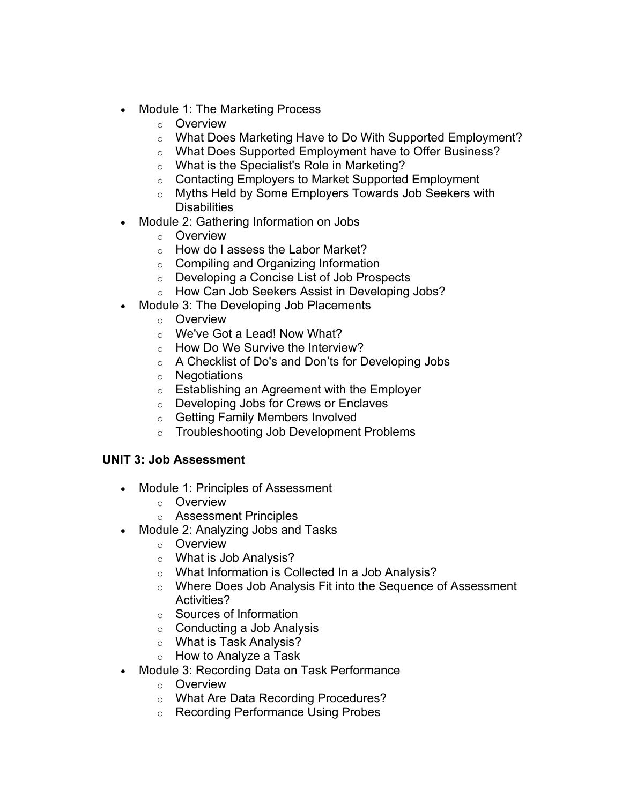- Module 1: The Marketing Process
	- o Overview
	- o What Does Marketing Have to Do With Supported Employment?
	- o What Does Supported Employment have to Offer Business?
	- o What is the Specialist's Role in Marketing?
	- o Contacting Employers to Market Supported Employment
	- o Myths Held by Some Employers Towards Job Seekers with **Disabilities**
- Module 2: Gathering Information on Jobs
	- o Overview
	- o How do I assess the Labor Market?
	- o Compiling and Organizing Information
	- $\circ$  Developing a Concise List of Job Prospects
	- o How Can Job Seekers Assist in Developing Jobs?
- Module 3: The Developing Job Placements
	- o Overview
	- o We've Got a Lead! Now What?
	- o How Do We Survive the Interview?
	- o A Checklist of Do's and Don'ts for Developing Jobs
	- o Negotiations
	- $\circ$  Establishing an Agreement with the Employer
	- o Developing Jobs for Crews or Enclaves
	- o Getting Family Members Involved
	- o Troubleshooting Job Development Problems

## **UNIT 3: Job Assessment**

- Module 1: Principles of Assessment
	- o Overview
	- o Assessment Principles
- Module 2: Analyzing Jobs and Tasks
	- o Overview
	- o What is Job Analysis?
	- o What Information is Collected In a Job Analysis?
	- o Where Does Job Analysis Fit into the Sequence of Assessment Activities?
	- o Sources of Information
	- $\circ$  Conducting a Job Analysis
	- o What is Task Analysis?
	- o How to Analyze a Task
- Module 3: Recording Data on Task Performance
	- o Overview
	- o What Are Data Recording Procedures?
	- o Recording Performance Using Probes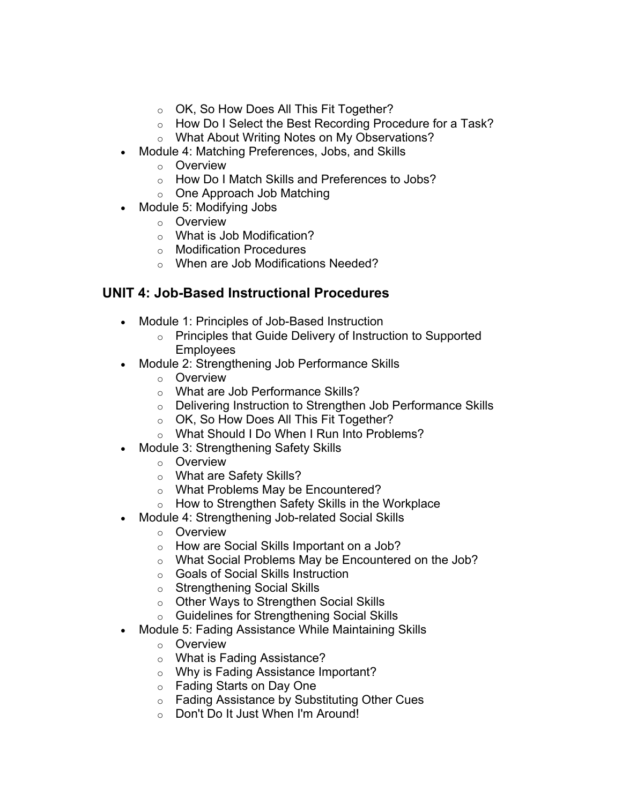- o OK, So How Does All This Fit Together?
- o How Do I Select the Best Recording Procedure for a Task?
- o What About Writing Notes on My Observations?
- Module 4: Matching Preferences, Jobs, and Skills
	- o Overview
	- o How Do I Match Skills and Preferences to Jobs?
	- o One Approach Job Matching
- Module 5: Modifying Jobs
	- o Overview
	- o What is Job Modification?
	- o Modification Procedures
	- o When are Job Modifications Needed?

# **UNIT 4: Job-Based Instructional Procedures**

- Module 1: Principles of Job-Based Instruction
	- o Principles that Guide Delivery of Instruction to Supported **Employees**
- Module 2: Strengthening Job Performance Skills
	- o Overview
	- o What are Job Performance Skills?
	- o Delivering Instruction to Strengthen Job Performance Skills
	- o OK, So How Does All This Fit Together?
	- o What Should I Do When I Run Into Problems?
- Module 3: Strengthening Safety Skills
	- o Overview
	- o What are Safety Skills?
	- o What Problems May be Encountered?
	- o How to Strengthen Safety Skills in the Workplace
- Module 4: Strengthening Job-related Social Skills
	- o Overview
	- o How are Social Skills Important on a Job?
	- o What Social Problems May be Encountered on the Job?
	- o Goals of Social Skills Instruction
	- o Strengthening Social Skills
	- o Other Ways to Strengthen Social Skills
	- o Guidelines for Strengthening Social Skills
- Module 5: Fading Assistance While Maintaining Skills
	- o Overview
	- o What is Fading Assistance?
	- o Why is Fading Assistance Important?
	- o Fading Starts on Day One
	- o Fading Assistance by Substituting Other Cues
	- o Don't Do It Just When I'm Around!